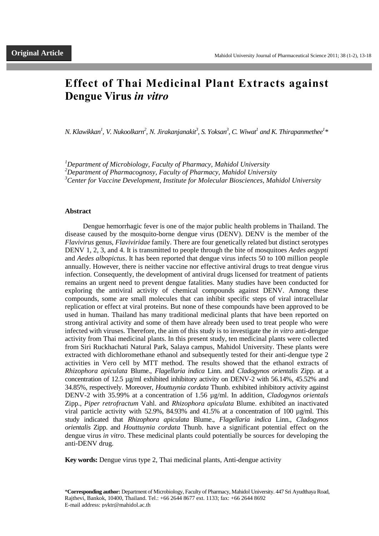# **Effect of Thai Medicinal Plant Extracts against Dengue Virus** *in vitro*

 $N$ . Klawikkan<sup>1</sup>, V. Nukoolkarn<sup>2</sup>, N. Jirakanjanakit<sup>3</sup>, S. Yoksan<sup>3</sup>, C. Wiwat<sup>1</sup> and K. Thirapanmethee<sup>1</sup>\*

*<sup>1</sup>Department of Microbiology, Faculty of Pharmacy, Mahidol University*

*<sup>2</sup>Department of Pharmacognosy, Faculty of Pharmacy, Mahidol University*

*<sup>3</sup>Center for Vaccine Development, Institute for Molecular Biosciences, Mahidol University*

## **Abstract**

Dengue hemorrhagic fever is one of the major public health problems in Thailand. The disease caused by the mosquito-borne dengue virus (DENV). DENV is the member of the *Flavivirus* genus, *Flaviviridae* family. There are four genetically related but distinct serotypes DENV 1, 2, 3, and 4. It is transmitted to people through the bite of mosquitoes *Aedes aegypti* and *Aedes albopictus*. It has been reported that dengue virus infects 50 to 100 million people annually. However, there is neither vaccine nor effective antiviral drugs to treat dengue virus infection. Consequently, the development of antiviral drugs licensed for treatment of patients remains an urgent need to prevent dengue fatalities. Many studies have been conducted for exploring the antiviral activity of chemical compounds against DENV. Among these compounds, some are small molecules that can inhibit specific steps of viral intracellular replication or effect at viral proteins. But none of these compounds have been approved to be used in human. Thailand has many traditional medicinal plants that have been reported on strong antiviral activity and some of them have already been used to treat people who were infected with viruses. Therefore, the aim of this study is to investigate the *in vitro* anti-dengue activity from Thai medicinal plants. In this present study, ten medicinal plants were collected from Siri Ruckhachati Natural Park, Salaya campus, Mahidol University. These plants were extracted with dichloromethane ethanol and subsequently tested for their anti-dengue type 2 activities in Vero cell by MTT method. The results showed that the ethanol extracts of *Rhizophora apiculata* Blume., *Flagellaria indica* Linn. and *Cladogynos orientalis* Zipp. at a concentration of 12.5 µg/ml exhibited inhibitory activity on DENV-2 with 56.14%, 45.52% and 34.85%, respectively. Moreover, *Houttuynia cordata* Thunb. exhibited inhibitory activity against DENV-2 with 35.99% at a concentration of 1.56 µg/ml. In addition, *Cladogynos orientals*  Zipp., *Piper retrofractum* Vahl. and *Rhizophora apiculata* Blume. exhibited an inactivated viral particle activity with 52.9%, 84.93% and 41.5% at a concentration of 100 µg/ml. This study indicated that *Rhizophora apiculata* Blume., *Flagellaria indica* Linn., *Cladogynos orientalis* Zipp. and *Houttuynia cordata* Thunb. have a significant potential effect on the dengue virus *in vitro*. These medicinal plants could potentially be sources for developing the anti-DENV drug.

**Key words:** Dengue virus type 2, Thai medicinal plants, Anti-dengue activity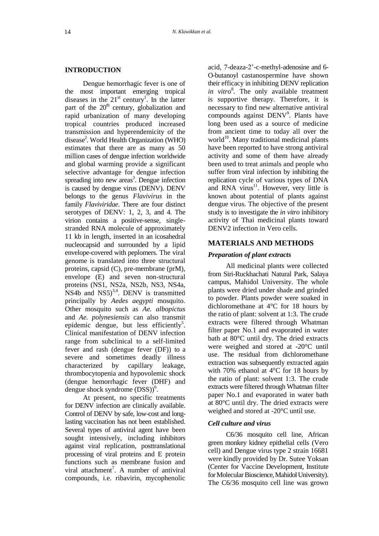#### **INTRODUCTION**

Dengue hemorrhagic fever is one of the most important emerging tropical diseases in the  $21<sup>st</sup>$  century<sup>1</sup>. In the latter part of the  $20<sup>th</sup>$  century, globalization and rapid urbanization of many developing tropical countries produced increased transmission and hyperendemicity of the disease 2 . World Health Organization (WHO) estimates that there are as many as 50 million cases of dengue infection worldwide and global warming provide a significant selective advantage for dengue infection spreading into new  $a$ reas<sup>3</sup>. Dengue infection is caused by dengue virus (DENV). DENV belongs to the genus *Flavivirus* in the family *Flaviviridae*. There are four distinct serotypes of DENV: 1, 2, 3, and 4. The virion contains a positive-sense, singlestranded RNA molecule of approximately 11 kb in length, inserted in an icosahedral nucleocapsid and surrounded by a lipid envelope-covered with peplomers. The viral genome is translated into three structural proteins, capsid (C), pre-membrane (prM), envelope (E) and seven non-structural proteins (NS1, NS2a, NS2b, NS3, NS4a, NS4b and  $NS5$ <sup>3,4</sup>. DENV is transmitted principally by *Aedes aegypti* mosquito. Other mosquito such as *Ae. albopictus* and *Ae. polynesiensis* can also transmit epidemic dengue, but less efficiently<sup>5</sup>. Clinical manifestation of DENV infection range from subclinical to a self-limited fever and rash (dengue fever (DF)) to a severe and sometimes deadly illness characterized by capillary leakage, thrombocytopenia and hypovolemic shock (dengue hemorrhagic fever (DHF) and dengue shock syndrome  $(DSS)$ <sup>6</sup>.

At present, no specific treatments for DENV infection are clinically available. Control of DENV by safe, low-cost and longlasting vaccination has not been established. Several types of antiviral agent have been sought intensively, including inhibitors against viral replication, posttranslational processing of viral proteins and E protein functions such as membrane fusion and viral attachment<sup>7</sup>. A number of antiviral compounds, i.e. ribavirin, mycophenolic acid, 7-deaza-2'-c-methyl-adenosine and 6- O-butanoyl castanospermine have shown their efficacy in inhibiting DENV replication in vitro<sup>8</sup>. The only available treatment is supportive therapy. Therefore, it is necessary to find new alternative antiviral compounds against DENV<sup>9</sup>. Plants have long been used as a source of medicine from ancient time to today all over the world $^{10}$ . Many traditional medicinal plants have been reported to have strong antiviral activity and some of them have already been used to treat animals and people who suffer from viral infection by inhibiting the replication cycle of various types of DNA and RNA virus $11$ . However, very little is known about potential of plants against dengue virus. The objective of the present study is to investigate the *in vitro* inhibitory activity of Thai medicinal plants toward DENV<sub>2</sub> infection in Vero cells.

# **MATERIALS AND METHODS**

# *Preparation of plant extracts*

All medicinal plants were collected from Siri-Ruckhachati Natural Park, Salaya campus, Mahidol University. The whole plants were dried under shade and grinded to powder. Plants powder were soaked in dichloromethane at 4°C for 18 hours by the ratio of plant: solvent at 1:3. The crude extracts were filtered through Whatman filter paper No.1 and evaporated in water bath at 80°C until dry. The dried extracts were weighed and stored at -20°C until use. The residual from dichloromethane extraction was subsequently extracted again with 70% ethanol at 4°C for 18 hours by the ratio of plant: solvent 1:3. The crude extracts were filtered through Whatman filter paper No.1 and evaporated in water bath at 80°C until dry. The dried extracts were weighed and stored at -20°C until use.

# *Cell culture and virus*

C6/36 mosquito cell line, African green monkey kidney epithelial cells (Vero cell) and Dengue virus type 2 strain 16681 were kindly provided by Dr. Sutee Yoksan (Center for Vaccine Development, Institute for Molecular Bioscience, Mahidol University). The C6/36 mosquito cell line was grown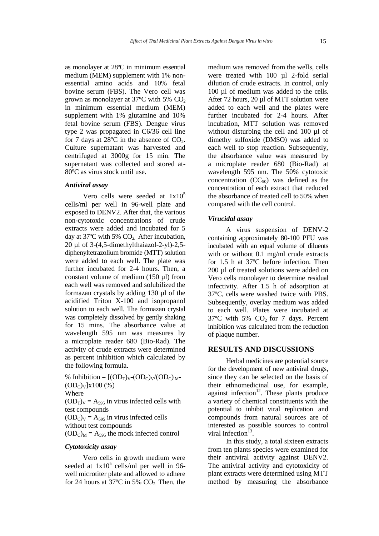as monolayer at 28ºC in minimum essential medium (MEM) supplement with 1% nonessential amino acids and 10% fetal bovine serum (FBS). The Vero cell was grown as monolayer at  $37^{\circ}$ C with 5% CO<sub>2</sub> in minimum essential medium (MEM) supplement with 1% glutamine and 10% fetal bovine serum (FBS). Dengue virus type 2 was propagated in C6/36 cell line for 7 days at 28 $^{\circ}$ C in the absence of CO<sub>2</sub>. Culture supernatant was harvested and centrifuged at 3000g for 15 min. The supernatant was collected and stored at-80ºC as virus stock until use.

## *Antiviral assay*

Vero cells were seeded at  $1x10^5$ cells/ml per well in 96-well plate and exposed to DENV2. After that, the various non-cytotoxic concentrations of crude extracts were added and incubated for 5 day at  $37^{\circ}$ C with 5% CO<sub>2</sub>. After incubation, 20 µl of 3-(4,5-dimethylthaiazol-2-yl)-2,5 diphenyltetrazolium bromide (MTT) solution were added to each well. The plate was further incubated for 2-4 hours. Then, a constant volume of medium (150 µl) from each well was removed and solubilized the formazan crystals by adding 130 µl of the acidified Triton X-100 and isopropanol solution to each well. The formazan crystal was completely dissolved by gently shaking for 15 mins. The absorbance value at wavelength 595 nm was measures by a microplate reader 680 (Bio-Rad). The activity of crude extracts were determined as percent inhibition which calculated by the following formula.

% Inhibition =  $[(OD_T)_V-(OD_C)_V/(OD_C)_{M^-}$  $(OD_C)_V]x100 (*)$ Where  $(OD<sub>T</sub>)<sub>V</sub> = A<sub>595</sub>$  in virus infected cells with test compounds  $(OD<sub>C</sub>)<sub>V</sub> = A<sub>595</sub>$  in virus infected cells without test compounds  $(OD<sub>C</sub>)<sub>M</sub> = A<sub>595</sub>$  the mock infected control

## *Cytotoxicity assay*

Vero cells in growth medium were seeded at  $1x10^5$  cells/ml per well in 96well microtiter plate and allowed to adhere for 24 hours at 37 $\degree$ C in 5% CO<sub>2</sub>. Then, the

medium was removed from the wells, cells were treated with 100 ul 2-fold serial dilution of crude extracts. In control, only 100 µl of medium was added to the cells. After 72 hours, 20 µl of MTT solution were added to each well and the plates were further incubated for 2-4 hours. After incubation, MTT solution was removed without disturbing the cell and 100 µl of dimethy sulfoxide (DMSO) was added to each well to stop reaction. Subsequently, the absorbance value was measured by a microplate reader 680 (Bio-Rad) at wavelength 595 nm. The 50% cytotoxic concentration  $(CC_{50})$  was defined as the concentration of each extract that reduced the absorbance of treated cell to 50% when compared with the cell control.

#### *Virucidal assay*

A virus suspension of DENV-2 containing approximately 80-100 PFU was incubated with an equal volume of diluents with or without 0.1 mg/ml crude extracts for 1.5 h at 37ºC before infection. Then 200 µl of treated solutions were added on Vero cells monolayer to determine residual infectivity. After 1.5 h of adsorption at 37ºC, cells were washed twice with PBS. Subsequently, overlay medium was added to each well. Plates were incubated at  $37^{\circ}$ C with 5% CO<sub>2</sub> for 7 days. Percent inhibition was calculated from the reduction of plaque number.

## **RESULTS AND DISCUSSIONS**

Herbal medicines are potential source for the development of new antiviral drugs, since they can be selected on the basis of their ethnomedicinal use, for example, against infection $12$ . These plants produce a variety of chemical constituents with the potential to inhibit viral replication and compounds from natural sources are of interested as possible sources to control viral infection $^{13}$ .

In this study, a total sixteen extracts from ten plants species were examined for their antiviral activity against DENV2. The antiviral activity and cytotoxicity of plant extracts were determined using MTT method by measuring the absorbance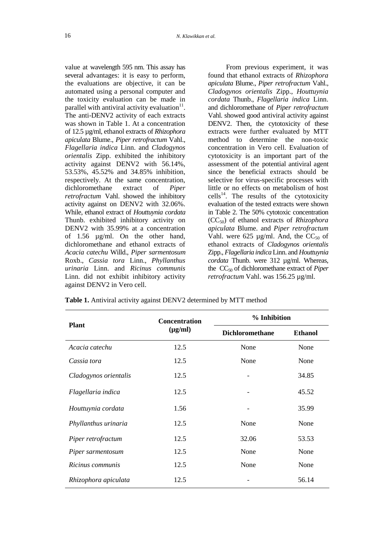value at wavelength 595 nm. This assay has several advantages: it is easy to perform, the evaluations are objective, it can be automated using a personal computer and the toxicity evaluation can be made in parallel with antiviral activity evaluation $11$ . The anti-DENV2 activity of each extracts was shown in Table 1. At a concentration of 12.5 µg/ml, ethanol extracts of *Rhizophora apiculata* Blume., *Piper retrofractum* Vahl., *Flagellaria indica* Linn. and *Cladogynos orientalis* Zipp. exhibited the inhibitory activity against DENV2 with 56.14%, 53.53%, 45.52% and 34.85% inhibition, respectively. At the same concentration, dichloromethane extract of *Piper retrofractum* Vahl. showed the inhibitory activity against on DENV2 with 32.06%. While, ethanol extract of *Houttuynia cordata* Thunb. exhibited inhibitory activity on DENV2 with 35.99% at a concentration of 1.56 µg/ml. On the other hand, dichloromethane and ethanol extracts of *Acacia catechu* Willd., *Piper sarmentosum* Roxb., *Cassia tora* Linn., *Phyllanthus urinaria* Linn. and *Ricinus communis* Linn. did not exhibit inhibitory activity against DENV2 in Vero cell.

From previous experiment, it was found that ethanol extracts of *Rhizophora apiculata* Blume., *Piper retrofractum* Vahl., *Cladogynos orientalis* Zipp., *Houttuynia cordata* Thunb., *Flagellaria indica* Linn. and dichloromethane of *Piper retrofractum* Vahl. showed good antiviral activity against DENV2. Then, the cytotoxicity of these extracts were further evaluated by MTT method to determine the non-toxic concentration in Vero cell. Evaluation of cytotoxicity is an important part of the assessment of the potential antiviral agent since the beneficial extracts should be selective for virus-specific processes with little or no effects on metabolism of host cells<sup>14</sup>. The results of the cytotoxicity evaluation of the tested extracts were shown in Table 2. The 50% cytotoxic concentration (CC50) of ethanol extracts of *Rhizophora apiculata* Blume. and *Piper retrofractum*  Vahl. were 625  $\mu$ g/ml. And, the CC<sub>50</sub> of ethanol extracts of *Cladogynos orientalis*  Zipp., *Flagellaria indica* Linn. and *Houttuynia cordata* Thunb. were 312 µg/ml. Whereas, the CC<sup>50</sup> of dichloromethane extract of *Piper retrofractum* Vahl. was 156.25 µg/ml.

| <b>Plant</b>          | <b>Concentration</b><br>$(\mu g/ml)$ | % Inhibition           |                |
|-----------------------|--------------------------------------|------------------------|----------------|
|                       |                                      | <b>Dichloromethane</b> | <b>Ethanol</b> |
| Acacia catechu        | 12.5                                 | None                   | None           |
| Cassia tora           | 12.5                                 | None                   | None           |
| Cladogynos orientalis | 12.5                                 |                        | 34.85          |
| Flagellaria indica    | 12.5                                 |                        | 45.52          |
| Houttuynia cordata    | 1.56                                 |                        | 35.99          |
| Phyllanthus urinaria  | 12.5                                 | None                   | None           |
| Piper retrofractum    | 12.5                                 | 32.06                  | 53.53          |
| Piper sarmentosum     | 12.5                                 | None                   | None           |
| Ricinus communis      | 12.5                                 | None                   | None           |
| Rhizophora apiculata  | 12.5                                 |                        | 56.14          |

**Table 1.** Antiviral activity against DENV2 determined by MTT method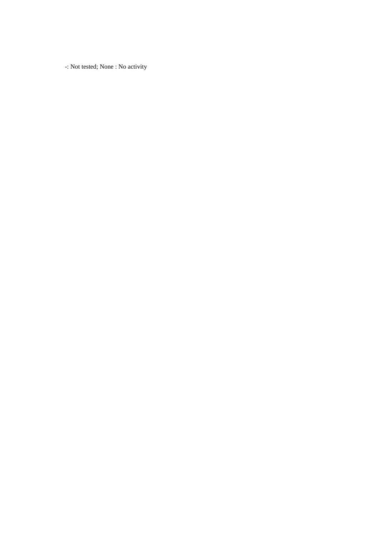-: Not tested; None : No activity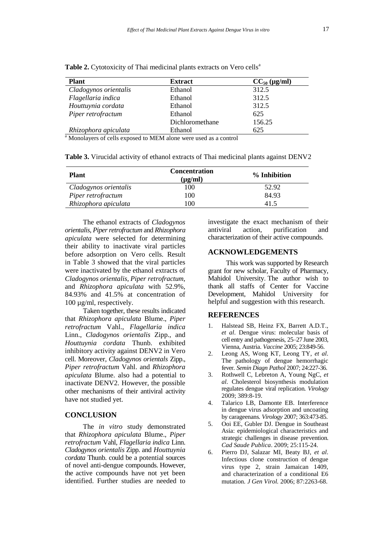| <b>Plant</b>          | <b>Extract</b>  | $CC_{50}$ (µg/ml) |
|-----------------------|-----------------|-------------------|
| Cladogynos orientalis | Ethanol         | 312.5             |
| Flagellaria indica    | Ethanol         | 312.5             |
| Houttuynia cordata    | Ethanol         | 312.5             |
| Piper retrofractum    | Ethanol         | 625               |
|                       | Dichloromethane | 156.25            |
| Rhizophora apiculata  | Ethanol         | 625               |

**Table 2.** Cytotoxicity of Thai medicinal plants extracts on Vero cells<sup>a</sup>

<sup>a</sup> Monolayers of cells exposed to MEM alone were used as a control

**Table 3.** Virucidal activity of ethanol extracts of Thai medicinal plants against DENV2

| <b>Plant</b>          | <b>Concentration</b><br>$(\mu g/ml)$ | % Inhibition |
|-----------------------|--------------------------------------|--------------|
| Cladogynos orientalis | 100                                  | 52.92        |
| Piper retrofractum    | 100                                  | 84.93        |
| Rhizophora apiculata  | 100                                  | 41.5         |

The ethanol extracts of *Cladogynos orientalis*, *Piper retrofractum* and *Rhizophora apiculata* were selected for determining their ability to inactivate viral particles before adsorption on Vero cells. Result in Table 3 showed that the viral particles were inactivated by the ethanol extracts of *Cladogynos orientalis, Piper retrofractum,*  and *Rhizophora apiculata* with 52.9%, 84.93% and 41.5% at concentration of 100 µg/ml, respectively.

Taken together, these results indicated that *Rhizophora apiculata* Blume., *Piper retrofractum* Vahl., *Flagellaria indica* Linn., *Cladogynos orientalis* Zipp., and *Houttuynia cordata* Thunb. exhibited inhibitory activity against DENV2 in Vero cell. Moreover, *Cladogynos orientals* Zipp., *Piper retrofractum* Vahl. and *Rhizophora apiculata* Blume. also had a potential to inactivate DENV2. However, the possible other mechanisms of their antiviral activity have not studied yet.

## **CONCLUSION**

The *in vitro* study demonstrated that *Rhizophora apiculata* Blume., *Piper retrofractum* Vahl, *Flagellaria indica* Linn. *Cladogynos orientalis* Zipp. and *Houttuynia cordata* Thunb. could be a potential sources of novel anti-dengue compounds. However, the active compounds have not yet been identified. Further studies are needed to

investigate the exact mechanism of their antiviral action, purification and characterization of their active compounds.

#### **ACKNOWLEDGEMENTS**

This work was supported by Research grant for new scholar, Faculty of Pharmacy, Mahidol University. The author wish to thank all staffs of Center for Vaccine Development, Mahidol University for helpful and suggestion with this research.

#### **REFERENCES**

- 1. Halstead SB, Heinz FX, Barrett A.D.T., *et al*. Dengue virus: molecular basis of cell entry and pathogenesis, 25–27 June 2003, Vienna, Austria. *Vaccine* 2005; 23:849-56.
- 2. Leong AS, Wong KT, Leong TY, *et al*. The pathology of dengue hemorrhagic fever. *Semin Diagn Pathol* 2007; 24:227-36.
- 3. Rothwell C, Lebreton A, Young NgC, *et al*. Cholesterol biosynthesis modulation regulates dengue viral replication. *Virology* 2009; 389:8-19.
- 4. Talarico LB, Damonte EB. Interference in dengue virus adsorption and uncoating by carageenans. *Virology* 2007; 363:473-85.
- 5. Ooi EE, Gubler DJ. Dengue in Southeast Asia: epidemiological characteristics and strategic challenges in disease prevention. *Cad Saude Publica*. 2009; 25:115-24.
- 6. Pierro DJ, Salazar MI, Beaty BJ, *et al*. Infectious clone construction of dengue virus type 2, strain Jamaican 1409, and characterization of a conditional E6 mutation. *J Gen Virol.* 2006; 87:2263-68.